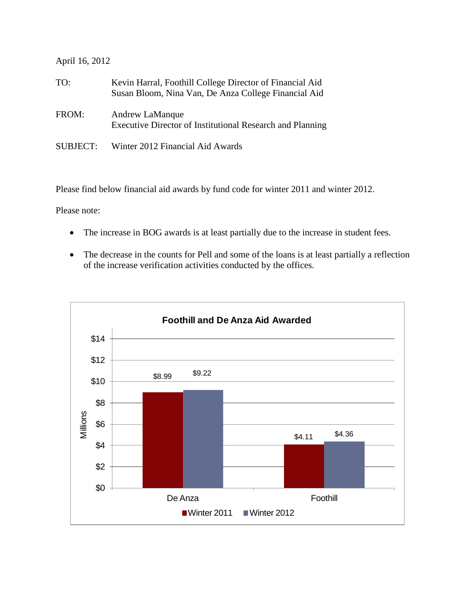## April 16, 2012

| TO:             | Kevin Harral, Foothill College Director of Financial Aid<br>Susan Bloom, Nina Van, De Anza College Financial Aid |
|-----------------|------------------------------------------------------------------------------------------------------------------|
| FROM:           | Andrew LaManque<br>Executive Director of Institutional Research and Planning                                     |
| <b>SUBJECT:</b> | Winter 2012 Financial Aid Awards                                                                                 |

Please find below financial aid awards by fund code for winter 2011 and winter 2012.

Please note:

- The increase in BOG awards is at least partially due to the increase in student fees.
- The decrease in the counts for Pell and some of the loans is at least partially a reflection of the increase verification activities conducted by the offices.

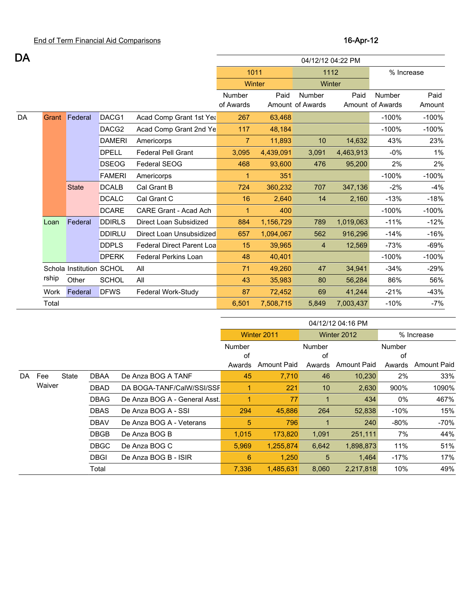| DA |       |                          |               |                                  | 04/12/12 04:22 PM |           |                  |           |                  |         |  |  |
|----|-------|--------------------------|---------------|----------------------------------|-------------------|-----------|------------------|-----------|------------------|---------|--|--|
|    |       |                          |               |                                  | 1011              |           |                  | 1112      | % Increase       |         |  |  |
|    |       |                          |               |                                  | Winter            |           |                  | Winter    |                  |         |  |  |
|    |       |                          |               |                                  | Number            | Paid      | Number           | Paid      | Number           | Paid    |  |  |
|    |       |                          |               |                                  | of Awards         |           | Amount of Awards |           | Amount of Awards | Amount  |  |  |
| DA | Grant | Federal                  | DACG1         | Acad Comp Grant 1st Yea          | 267               | 63,468    |                  |           | $-100%$          | $-100%$ |  |  |
|    |       |                          | DACG2         | Acad Comp Grant 2nd Ye           | 117               | 48,184    |                  |           | $-100%$          | $-100%$ |  |  |
|    |       |                          | <b>DAMERI</b> | Americorps                       | $\overline{7}$    | 11,893    | 10               | 14,632    | 43%              | 23%     |  |  |
|    |       |                          | <b>DPELL</b>  | <b>Federal Pell Grant</b>        | 3,095             | 4,439,091 | 3,091            | 4,463,913 | $-0%$            | $1\%$   |  |  |
|    |       |                          | <b>DSEOG</b>  | Federal SEOG                     | 468               | 93,600    | 476              | 95,200    | 2%               | 2%      |  |  |
|    |       |                          | <b>FAMERI</b> | Americorps                       | 1                 | 351       |                  |           | $-100%$          | $-100%$ |  |  |
|    |       | <b>State</b>             | <b>DCALB</b>  | Cal Grant B                      | 724               | 360,232   | 707              | 347,136   | $-2%$            | $-4%$   |  |  |
|    |       |                          | <b>DCALC</b>  | Cal Grant C                      | 16                | 2,640     | 14               | 2,160     | $-13%$           | $-18%$  |  |  |
|    |       |                          | <b>DCARE</b>  | CARE Grant - Acad Ach            | $\mathbf{1}$      | 400       |                  |           | $-100%$          | $-100%$ |  |  |
|    | Loan  | Federal                  | <b>DDIRLS</b> | Direct Loan Subsidized           | 884               | 1,156,729 | 789              | 1,019,063 | $-11%$           | $-12%$  |  |  |
|    |       |                          | <b>DDIRLU</b> | Direct Loan Unsubsidized         | 657               | 1,094,067 | 562              | 916,296   | $-14%$           | $-16%$  |  |  |
|    |       |                          | <b>DDPLS</b>  | <b>Federal Direct Parent Loa</b> | 15                | 39,965    | 4                | 12,569    | $-73%$           | $-69%$  |  |  |
|    |       |                          | <b>DPERK</b>  | <b>Federal Perkins Loan</b>      | 48                | 40,401    |                  |           | $-100%$          | $-100%$ |  |  |
|    |       | Schola Institution SCHOL |               | All                              | 71                | 49,260    | 47               | 34,941    | $-34%$           | $-29%$  |  |  |
|    | rship | Other                    | <b>SCHOL</b>  | All                              | 43                | 35,983    | 80               | 56,284    | 86%              | 56%     |  |  |
|    | Work  | Federal                  | <b>DFWS</b>   | Federal Work-Study               | 87                | 72,452    | 69               | 41,244    | $-21%$           | $-43%$  |  |  |
|    | Total |                          |               |                                  | 6,501             | 7,508,715 | 5,849            | 7,003,437 | $-10%$           | -7%     |  |  |

|     |        |       |             |                               | 04/12/12 04:16 PM |             |                 |                    |                       |       |  |  |
|-----|--------|-------|-------------|-------------------------------|-------------------|-------------|-----------------|--------------------|-----------------------|-------|--|--|
|     |        |       |             |                               |                   | Winter 2011 |                 | Winter 2012        | % Increase            |       |  |  |
|     |        |       |             |                               | Number            |             | Number          |                    | <b>Number</b>         |       |  |  |
|     |        |       |             |                               | of                |             | of              | of                 |                       |       |  |  |
|     |        |       |             |                               | Awards            | Amount Paid | Awards          | <b>Amount Paid</b> | Amount Paid<br>Awards |       |  |  |
| DA. | Fee    | State | DBAA        | De Anza BOG A TANF            | 45                | 7.710       | 46              | 10,230             | 2%                    | 33%   |  |  |
|     | Waiver |       | <b>DBAD</b> | DA BOGA-TANF/CalW/SSI/SSF     |                   | 221         | 10              | 2,630              | 900%                  | 1090% |  |  |
|     |        |       | <b>DBAG</b> | De Anza BOG A - General Asst. |                   | 77          | 1               | 434                | 0%                    | 467%  |  |  |
|     |        |       | <b>DBAS</b> | De Anza BOG A - SSI           | 294               | 45.886      | 264             | 52,838             | $-10%$                | 15%   |  |  |
|     |        |       | <b>DBAV</b> | De Anza BOG A - Veterans      | 5                 | 796         |                 | 240                | $-80%$                | -70%  |  |  |
|     |        |       | <b>DBGB</b> | De Anza BOG B                 | 1,015             | 173,820     | 1,091           | 251,111            | 7%                    | 44%   |  |  |
|     |        |       | <b>DBGC</b> | De Anza BOG C                 | 5,969             | 1,255,874   | 6,642           | 1,898,873          | 11%                   | 51%   |  |  |
|     |        |       | <b>DBGI</b> | De Anza BOG B - ISIR          | 6                 | 1,250       | $5\overline{)}$ | 1.464              | $-17%$                | 17%   |  |  |
|     |        |       | Total       |                               | 7,336             | 1,485,631   | 8.060           | 2,217,818          | 10%                   | 49%   |  |  |